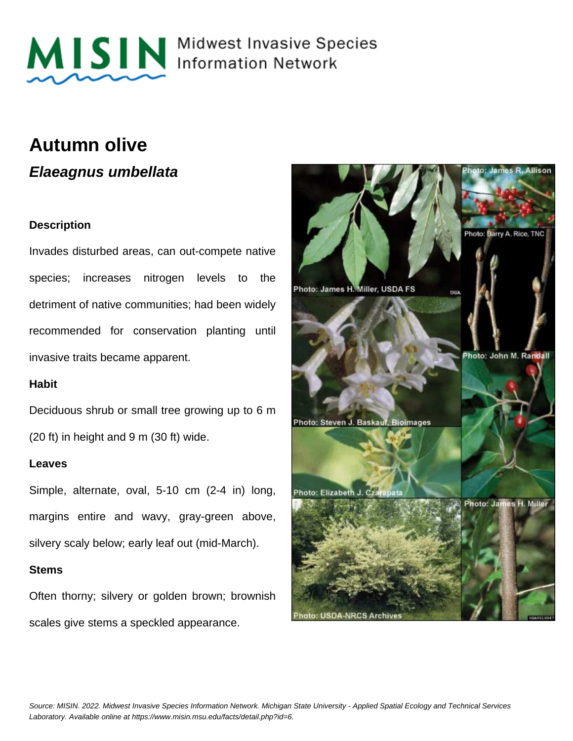

MISIN Midwest Invasive Species

### **Autumn olive**

**Elaeagnus umbellata**

#### **Description**

Invades disturbed areas, can out-compete native species; increases nitrogen levels to the detriment of native communities; had been widely recommended for conservation planting until invasive traits became apparent.

#### **Habit**

Deciduous shrub or small tree growing up to 6 m (20 ft) in height and 9 m (30 ft) wide.

#### **Leaves**

Simple, alternate, oval, 5-10 cm (2-4 in) long, margins entire and wavy, gray-green above, silvery scaly below; early leaf out (mid-March).

#### **Stems**

Often thorny; silvery or golden brown; brownish scales give stems a speckled appearance.

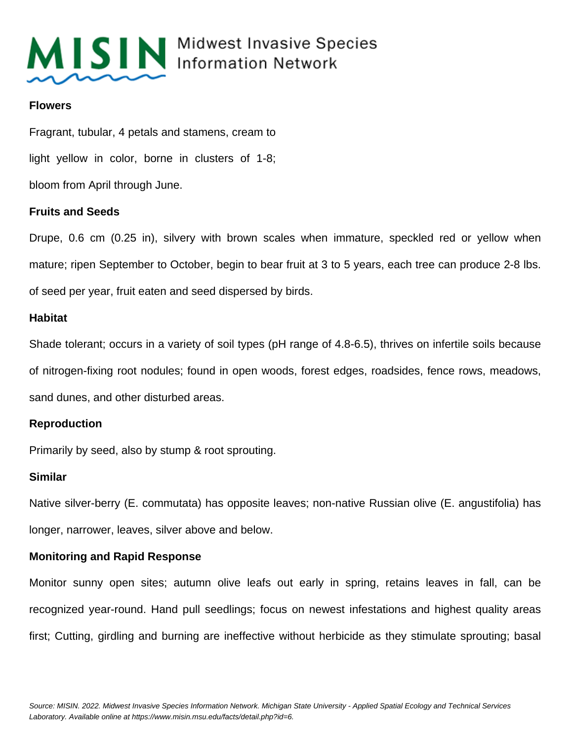

## MISIN Midwest Invasive Species

#### **Flowers**

Fragrant, tubular, 4 petals and stamens, cream to light yellow in color, borne in clusters of 1-8; bloom from April through June.

#### **Fruits and Seeds**

Drupe, 0.6 cm (0.25 in), silvery with brown scales when immature, speckled red or yellow when mature; ripen September to October, begin to bear fruit at 3 to 5 years, each tree can produce 2-8 lbs. of seed per year, fruit eaten and seed dispersed by birds.

#### **Habitat**

Shade tolerant; occurs in a variety of soil types (pH range of 4.8-6.5), thrives on infertile soils because of nitrogen-fixing root nodules; found in open woods, forest edges, roadsides, fence rows, meadows, sand dunes, and other disturbed areas.

#### **Reproduction**

Primarily by seed, also by stump & root sprouting.

#### **Similar**

Native silver-berry (E. commutata) has opposite leaves; non-native Russian olive (E. angustifolia) has longer, narrower, leaves, silver above and below.

#### **Monitoring and Rapid Response**

Monitor sunny open sites; autumn olive leafs out early in spring, retains leaves in fall, can be recognized year-round. Hand pull seedlings; focus on newest infestations and highest quality areas first; Cutting, girdling and burning are ineffective without herbicide as they stimulate sprouting; basal